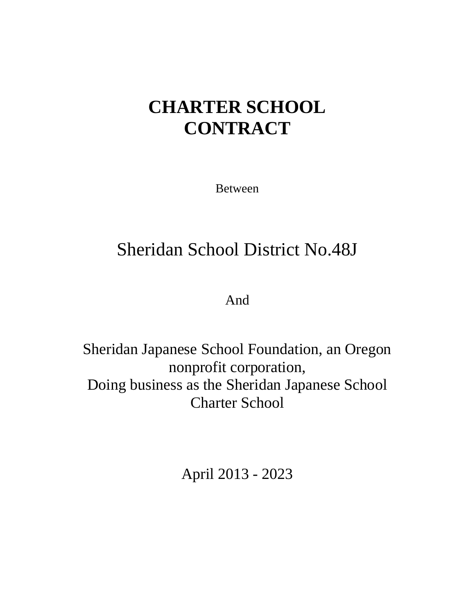# **CHARTER SCHOOL CONTRACT**

Between

# Sheridan School District No.48J

And

Sheridan Japanese School Foundation, an Oregon nonprofit corporation, Doing business as the Sheridan Japanese School Charter School

April 2013 - 2023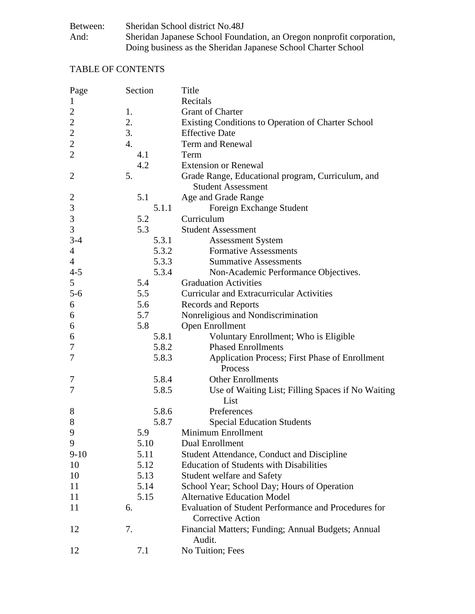| Between: | Sheridan School district No.48J                                       |
|----------|-----------------------------------------------------------------------|
| And:     | Sheridan Japanese School Foundation, an Oregon nonprofit corporation, |
|          | Doing business as the Sheridan Japanese School Charter School         |

# TABLE OF CONTENTS

| Page           | Section          | Title                                                       |
|----------------|------------------|-------------------------------------------------------------|
| $\mathbf{1}$   |                  | Recitals                                                    |
| $\mathbf{2}$   | 1.               | <b>Grant of Charter</b>                                     |
| $\overline{c}$ | 2.               | Existing Conditions to Operation of Charter School          |
| $\overline{2}$ | 3.               | <b>Effective Date</b>                                       |
| $\overline{c}$ | $\overline{4}$ . | Term and Renewal                                            |
| $\overline{2}$ | 4.1              | Term                                                        |
|                | 4.2              | <b>Extension or Renewal</b>                                 |
| $\overline{2}$ | 5.               | Grade Range, Educational program, Curriculum, and           |
|                |                  | <b>Student Assessment</b>                                   |
| $\overline{c}$ | 5.1              | Age and Grade Range                                         |
| 3              | 5.1.1            | Foreign Exchange Student                                    |
| 3              | 5.2              | Curriculum                                                  |
| $\mathfrak{Z}$ | 5.3              | <b>Student Assessment</b>                                   |
| $3-4$          | 5.3.1            | <b>Assessment System</b>                                    |
| $\overline{4}$ | 5.3.2            | <b>Formative Assessments</b>                                |
|                | 5.3.3            | <b>Summative Assessments</b>                                |
| $\overline{4}$ |                  |                                                             |
| $4 - 5$        | 5.3.4            | Non-Academic Performance Objectives.                        |
| 5              | 5.4              | <b>Graduation Activities</b>                                |
| $5 - 6$        | 5.5              | <b>Curricular and Extracurricular Activities</b>            |
| 6              | 5.6              | Records and Reports                                         |
| 6              | 5.7              | Nonreligious and Nondiscrimination                          |
| 6              | 5.8              | Open Enrollment                                             |
| 6              | 5.8.1            | Voluntary Enrollment; Who is Eligible                       |
| 7              | 5.8.2            | <b>Phased Enrollments</b>                                   |
| 7              | 5.8.3            | <b>Application Process; First Phase of Enrollment</b>       |
|                |                  | Process                                                     |
| 7              | 5.8.4            | <b>Other Enrollments</b>                                    |
| 7              | 5.8.5            | Use of Waiting List; Filling Spaces if No Waiting           |
|                |                  | List                                                        |
| 8              | 5.8.6            | Preferences                                                 |
| 8              | 5.8.7            | <b>Special Education Students</b>                           |
| 9              | 5.9              | Minimum Enrollment                                          |
| 9              | 5.10             | Dual Enrollment                                             |
| $9 - 10$       | 5.11             | Student Attendance, Conduct and Discipline                  |
| 10             | 5.12             | <b>Education of Students with Disabilities</b>              |
| 10             | 5.13             | Student welfare and Safety                                  |
| 11             | 5.14             | School Year; School Day; Hours of Operation                 |
| 11             | 5.15             | <b>Alternative Education Model</b>                          |
| 11             | 6.               | <b>Evaluation of Student Performance and Procedures for</b> |
|                |                  | <b>Corrective Action</b>                                    |
| 12             | 7.               | Financial Matters; Funding; Annual Budgets; Annual          |
|                |                  | Audit.                                                      |
| 12             | 7.1              | No Tuition; Fees                                            |
|                |                  |                                                             |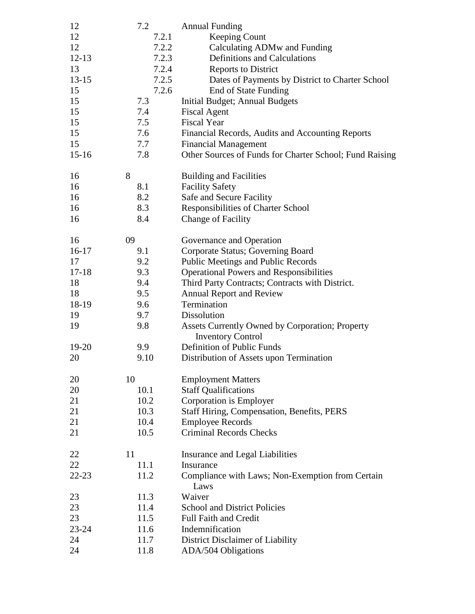| 12        | 7.2   | <b>Annual Funding</b>                                    |
|-----------|-------|----------------------------------------------------------|
| 12        | 7.2.1 | Keeping Count                                            |
| 12        | 7.2.2 | Calculating ADMw and Funding                             |
| $12 - 13$ | 7.2.3 | <b>Definitions and Calculations</b>                      |
| 13        | 7.2.4 | <b>Reports to District</b>                               |
| $13 - 15$ | 7.2.5 | Dates of Payments by District to Charter School          |
| 15        | 7.2.6 | End of State Funding                                     |
| 15        | 7.3   | Initial Budget; Annual Budgets                           |
| 15        | 7.4   | <b>Fiscal Agent</b>                                      |
| 15        | 7.5   | <b>Fiscal Year</b>                                       |
| 15        | 7.6   | Financial Records, Audits and Accounting Reports         |
| 15        | 7.7   | <b>Financial Management</b>                              |
| $15-16$   | 7.8   | Other Sources of Funds for Charter School; Fund Raising  |
|           |       |                                                          |
| 16        | 8     | <b>Building and Facilities</b>                           |
| 16        | 8.1   | <b>Facility Safety</b>                                   |
| 16        | 8.2   | Safe and Secure Facility                                 |
| 16        | 8.3   | Responsibilities of Charter School                       |
| 16        | 8.4   | <b>Change of Facility</b>                                |
| 16        | 09    | Governance and Operation                                 |
| $16-17$   | 9.1   | Corporate Status; Governing Board                        |
| 17        | 9.2   | Public Meetings and Public Records                       |
| $17 - 18$ | 9.3   | <b>Operational Powers and Responsibilities</b>           |
| 18        | 9.4   | Third Party Contracts; Contracts with District.          |
| 18        | 9.5   | <b>Annual Report and Review</b>                          |
| 18-19     | 9.6   | Termination                                              |
| 19        | 9.7   | <b>Dissolution</b>                                       |
| 19        | 9.8   | Assets Currently Owned by Corporation; Property          |
|           |       | <b>Inventory Control</b>                                 |
| $19-20$   | 9.9   | Definition of Public Funds                               |
| 20        | 9.10  | Distribution of Assets upon Termination                  |
|           |       |                                                          |
| 20        | 10    | <b>Employment Matters</b>                                |
| 20        | 10.1  | <b>Staff Qualifications</b>                              |
| 21        | 10.2  | Corporation is Employer                                  |
| 21        | 10.3  | Staff Hiring, Compensation, Benefits, PERS               |
| 21        | 10.4  | <b>Employee Records</b>                                  |
| 21        | 10.5  | <b>Criminal Records Checks</b>                           |
| 22        | 11    | Insurance and Legal Liabilities                          |
| 22        | 11.1  | Insurance                                                |
| $22 - 23$ | 11.2  | Compliance with Laws; Non-Exemption from Certain<br>Laws |
| 23        | 11.3  | Waiver                                                   |
| 23        | 11.4  | <b>School and District Policies</b>                      |
| 23        | 11.5  | <b>Full Faith and Credit</b>                             |
| 23-24     | 11.6  | Indemnification                                          |
| 24        | 11.7  | District Disclaimer of Liability                         |
| 24        | 11.8  | ADA/504 Obligations                                      |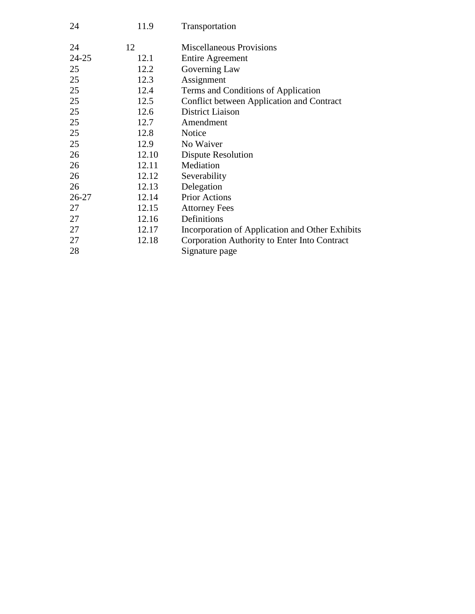| 24    | 11.9  | Transportation                                  |
|-------|-------|-------------------------------------------------|
| 24    | 12    | <b>Miscellaneous Provisions</b>                 |
| 24-25 | 12.1  | <b>Entire Agreement</b>                         |
| 25    | 12.2  | Governing Law                                   |
| 25    | 12.3  | Assignment                                      |
| 25    | 12.4  | Terms and Conditions of Application             |
| 25    | 12.5  | Conflict between Application and Contract       |
| 25    | 12.6  | District Liaison                                |
| 25    | 12.7  | Amendment                                       |
| 25    | 12.8  | Notice                                          |
| 25    | 12.9  | No Waiver                                       |
| 26    | 12.10 | Dispute Resolution                              |
| 26    | 12.11 | Mediation                                       |
| 26    | 12.12 | Severability                                    |
| 26    | 12.13 | Delegation                                      |
| 26-27 | 12.14 | <b>Prior Actions</b>                            |
| 27    | 12.15 | <b>Attorney Fees</b>                            |
| 27    | 12.16 | Definitions                                     |
| 27    | 12.17 | Incorporation of Application and Other Exhibits |
| 27    | 12.18 | Corporation Authority to Enter Into Contract    |
| 28    |       | Signature page                                  |
|       |       |                                                 |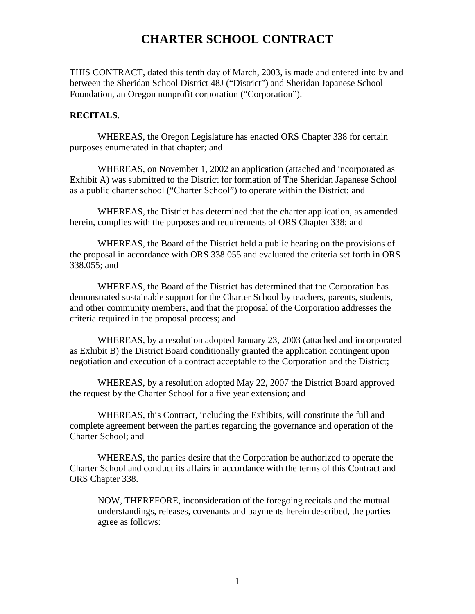# **CHARTER SCHOOL CONTRACT**

THIS CONTRACT, dated this tenth day of March, 2003, is made and entered into by and between the Sheridan School District 48J ("District") and Sheridan Japanese School Foundation, an Oregon nonprofit corporation ("Corporation").

#### **RECITALS**.

WHEREAS, the Oregon Legislature has enacted ORS Chapter 338 for certain purposes enumerated in that chapter; and

WHEREAS, on November 1, 2002 an application (attached and incorporated as Exhibit A) was submitted to the District for formation of The Sheridan Japanese School as a public charter school ("Charter School") to operate within the District; and

WHEREAS, the District has determined that the charter application, as amended herein, complies with the purposes and requirements of ORS Chapter 338; and

WHEREAS, the Board of the District held a public hearing on the provisions of the proposal in accordance with ORS 338.055 and evaluated the criteria set forth in ORS 338.055; and

WHEREAS, the Board of the District has determined that the Corporation has demonstrated sustainable support for the Charter School by teachers, parents, students, and other community members, and that the proposal of the Corporation addresses the criteria required in the proposal process; and

WHEREAS, by a resolution adopted January 23, 2003 (attached and incorporated as Exhibit B) the District Board conditionally granted the application contingent upon negotiation and execution of a contract acceptable to the Corporation and the District;

WHEREAS, by a resolution adopted May 22, 2007 the District Board approved the request by the Charter School for a five year extension; and

WHEREAS, this Contract, including the Exhibits, will constitute the full and complete agreement between the parties regarding the governance and operation of the Charter School; and

WHEREAS, the parties desire that the Corporation be authorized to operate the Charter School and conduct its affairs in accordance with the terms of this Contract and ORS Chapter 338.

NOW, THEREFORE, inconsideration of the foregoing recitals and the mutual understandings, releases, covenants and payments herein described, the parties agree as follows: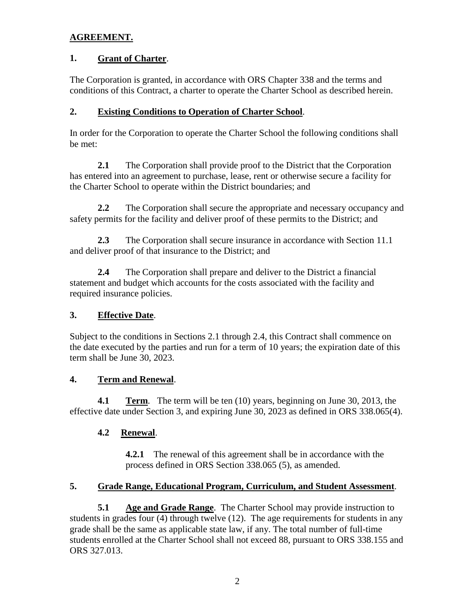# **AGREEMENT.**

### **1. Grant of Charter**.

The Corporation is granted, in accordance with ORS Chapter 338 and the terms and conditions of this Contract, a charter to operate the Charter School as described herein.

## **2. Existing Conditions to Operation of Charter School**.

In order for the Corporation to operate the Charter School the following conditions shall be met:

**2.1** The Corporation shall provide proof to the District that the Corporation has entered into an agreement to purchase, lease, rent or otherwise secure a facility for the Charter School to operate within the District boundaries; and

**2.2** The Corporation shall secure the appropriate and necessary occupancy and safety permits for the facility and deliver proof of these permits to the District; and

**2.3** The Corporation shall secure insurance in accordance with Section 11.1 and deliver proof of that insurance to the District; and

**2.4** The Corporation shall prepare and deliver to the District a financial statement and budget which accounts for the costs associated with the facility and required insurance policies.

# **3. Effective Date**.

Subject to the conditions in Sections 2.1 through 2.4, this Contract shall commence on the date executed by the parties and run for a term of 10 years; the expiration date of this term shall be June 30, 2023.

# **4. Term and Renewal** .

**4.1 Term**. The term will be ten (10) years, beginning on June 30, 2013, the effective date under Section 3, and expiring June 30, 2023 as defined in ORS 338.065(4).

# **4.2 Renewal**.

**4.2.1** The renewal of this agreement shall be in accordance with the process defined in ORS Section 338.065 (5), as amended.

#### **5. Grade Range, Educational Program, Curriculum, and Student Assessment**.

**5.1 Age and Grade Range**. The Charter School may provide instruction to students in grades four (4) through twelve (12). The age requirements for students in any grade shall be the same as applicable state law, if any. The total number of full-time students enrolled at the Charter School shall not exceed 88, pursuant to ORS 338.155 and ORS 327.013.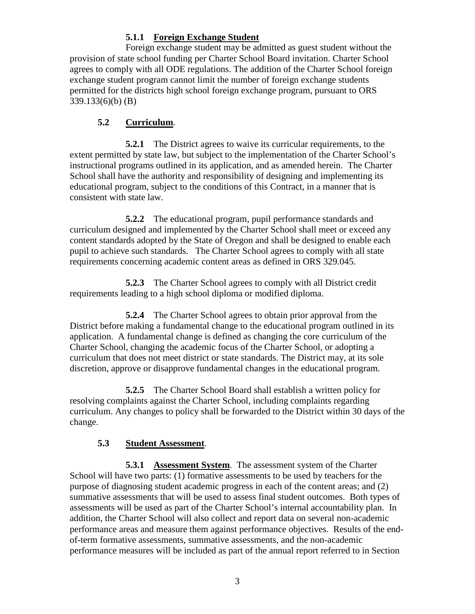# **5.1.1 Foreign Exchange Student**

Foreign exchange student may be admitted as guest student without the provision of state school funding per Charter School Board invitation. Charter School agrees to comply with all ODE regulations. The addition of the Charter School foreign exchange student program cannot limit the number of foreign exchange students permitted for the districts high school foreign exchange program, pursuant to ORS 339.133(6)(b) (B)

# **5.2 Curriculum**.

**5.2.1** The District agrees to waive its curricular requirements, to the extent permitted by state law, but subject to the implementation of the Charter School's instructional programs outlined in its application, and as amended herein. The Charter School shall have the authority and responsibility of designing and implementing its educational program, subject to the conditions of this Contract, in a manner that is consistent with state law.

**5.2.2** The educational program, pupil performance standards and curriculum designed and implemented by the Charter School shall meet or exceed any content standards adopted by the State of Oregon and shall be designed to enable each pupil to achieve such standards. The Charter School agrees to comply with all state requirements concerning academic content areas as defined in ORS 329.045.

**5.2.3** The Charter School agrees to comply with all District credit requirements leading to a high school diploma or modified diploma.

**5.2.4** The Charter School agrees to obtain prior approval from the District before making a fundamental change to the educational program outlined in its application. A fundamental change is defined as changing the core curriculum of the Charter School, changing the academic focus of the Charter School, or adopting a curriculum that does not meet district or state standards. The District may, at its sole discretion, approve or disapprove fundamental changes in the educational program.

**5.2.5** The Charter School Board shall establish a written policy for resolving complaints against the Charter School, including complaints regarding curriculum. Any changes to policy shall be forwarded to the District within 30 days of the change.

# **5.3 Student Assessment**.

**5.3.1 Assessment System**. The assessment system of the Charter School will have two parts: (1) formative assessments to be used by teachers for the purpose of diagnosing student academic progress in each of the content areas; and (2) summative assessments that will be used to assess final student outcomes. Both types of assessments will be used as part of the Charter School's internal accountability plan. In addition, the Charter School will also collect and report data on several non-academic performance areas and measure them against performance objectives. Results of the endof-term formative assessments, summative assessments, and the non-academic performance measures will be included as part of the annual report referred to in Section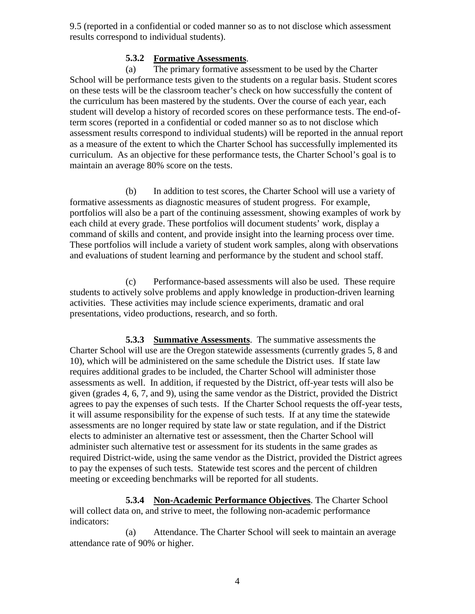9.5 (reported in a confidential or coded manner so as to not disclose which assessment results correspond to individual students).

## **5.3.2 Formative Assessments** .

(a) The primary formative assessment to be used by the Charter School will be performance tests given to the students on a regular basis. Student scores on these tests will be the classroom teacher's check on how successfully the content of the curriculum has been mastered by the students. Over the course of each year, each student will develop a history of recorded scores on these performance tests. The end-ofterm scores (reported in a confidential or coded manner so as to not disclose which assessment results correspond to individual students) will be reported in the annual report as a measure of the extent to which the Charter School has successfully implemented its curriculum. As an objective for these performance tests, the Charter School's goal is to maintain an average 80% score on the tests.

(b) In addition to test scores, the Charter School will use a variety of formative assessments as diagnostic measures of student progress. For example, portfolios will also be a part of the continuing assessment, showing examples of work by each child at every grade. These portfolios will document students' work, display a command of skills and content, and provide insight into the learning process over time. These portfolios will include a variety of student work samples, along with observations and evaluations of student learning and performance by the student and school staff.

(c) Performance-based assessments will also be used. These require students to actively solve problems and apply knowledge in production-driven learning activities. These activities may include science experiments, dramatic and oral presentations, video productions, research, and so forth.

**5.3.3 Summative Assessments**. The summative assessments the Charter School will use are the Oregon statewide assessments (currently grades 5, 8 and 10), which will be administered on the same schedule the District uses. If state law requires additional grades to be included, the Charter School will administer those assessments as well. In addition, if requested by the District, off-year tests will also be given (grades 4, 6, 7, and 9), using the same vendor as the District, provided the District agrees to pay the expenses of such tests. If the Charter School requests the off-year tests, it will assume responsibility for the expense of such tests. If at any time the statewide assessments are no longer required by state law or state regulation, and if the District elects to administer an alternative test or assessment, then the Charter School will administer such alternative test or assessment for its students in the same grades as required District-wide, using the same vendor as the District, provided the District agrees to pay the expenses of such tests. Statewide test scores and the percent of children meeting or exceeding benchmarks will be reported for all students.

**5.3.4 Non-Academic Performance Objectives** . The Charter School will collect data on, and strive to meet, the following non-academic performance indicators:

(a) Attendance. The Charter School will seek to maintain an average attendance rate of 90% or higher.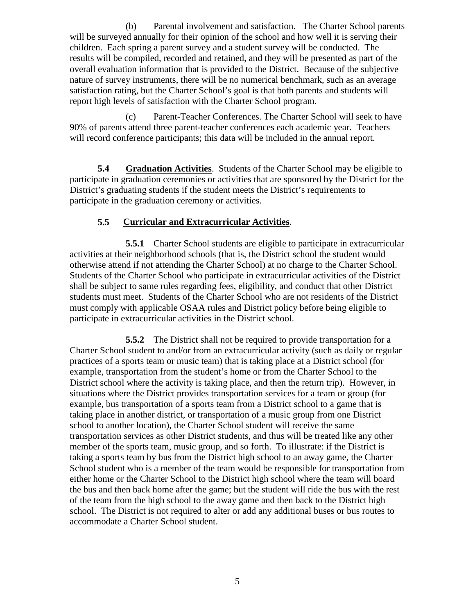(b) Parental involvement and satisfaction. The Charter School parents will be surveyed annually for their opinion of the school and how well it is serving their children. Each spring a parent survey and a student survey will be conducted. The results will be compiled, recorded and retained, and they will be presented as part of the overall evaluation information that is provided to the District. Because of the subjective nature of survey instruments, there will be no numerical benchmark, such as an average satisfaction rating, but the Charter School's goal is that both parents and students will report high levels of satisfaction with the Charter School program.

(c) Parent-Teacher Conferences. The Charter School will seek to have 90% of parents attend three parent-teacher conferences each academic year. Teachers will record conference participants; this data will be included in the annual report.

**5.4 Graduation Activities**. Students of the Charter School may be eligible to participate in graduation ceremonies or activities that are sponsored by the District for the District's graduating students if the student meets the District's requirements to participate in the graduation ceremony or activities.

# **5.5 Curricular and Extracurricular Activities**.

**5.5.1** Charter School students are eligible to participate in extracurricular activities at their neighborhood schools (that is, the District school the student would otherwise attend if not attending the Charter School) at no charge to the Charter School. Students of the Charter School who participate in extracurricular activities of the District shall be subject to same rules regarding fees, eligibility, and conduct that other District students must meet. Students of the Charter School who are not residents of the District must comply with applicable OSAA rules and District policy before being eligible to participate in extracurricular activities in the District school.

**5.5.2** The District shall not be required to provide transportation for a Charter School student to and/or from an extracurricular activity (such as daily or regular practices of a sports team or music team) that is taking place at a District school (for example, transportation from the student's home or from the Charter School to the District school where the activity is taking place, and then the return trip). However, in situations where the District provides transportation services for a team or group (for example, bus transportation of a sports team from a District school to a game that is taking place in another district, or transportation of a music group from one District school to another location), the Charter School student will receive the same transportation services as other District students, and thus will be treated like any other member of the sports team, music group, and so forth. To illustrate: if the District is taking a sports team by bus from the District high school to an away game, the Charter School student who is a member of the team would be responsible for transportation from either home or the Charter School to the District high school where the team will board the bus and then back home after the game; but the student will ride the bus with the rest of the team from the high school to the away game and then back to the District high school. The District is not required to alter or add any additional buses or bus routes to accommodate a Charter School student.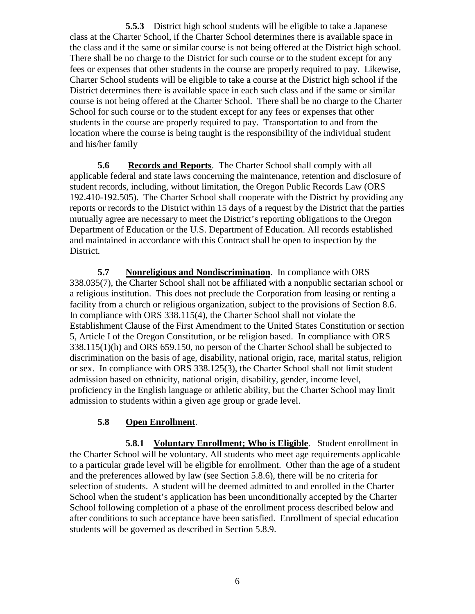**5.5.3** District high school students will be eligible to take a Japanese class at the Charter School, if the Charter School determines there is available space in the class and if the same or similar course is not being offered at the District high school. There shall be no charge to the District for such course or to the student except for any fees or expenses that other students in the course are properly required to pay. Likewise, Charter School students will be eligible to take a course at the District high school if the District determines there is available space in each such class and if the same or similar course is not being offered at the Charter School. There shall be no charge to the Charter School for such course or to the student except for any fees or expenses that other students in the course are properly required to pay. Transportation to and from the location where the course is being taught is the responsibility of the individual student and his/her family

**5.6 Records and Reports**. The Charter School shall comply with all applicable federal and state laws concerning the maintenance, retention and disclosure of student records, including, without limitation, the Oregon Public Records Law (ORS 192.410-192.505). The Charter School shall cooperate with the District by providing any reports or records to the District within 15 days of a request by the District that the parties mutually agree are necessary to meet the District's reporting obligations to the Oregon Department of Education or the U.S. Department of Education. All records established and maintained in accordance with this Contract shall be open to inspection by the District.

**5.7 Nonreligious and Nondiscrimination**. In compliance with ORS 338.035(7), the Charter School shall not be affiliated with a nonpublic sectarian school or a religious institution. This does not preclude the Corporation from leasing or renting a facility from a church or religious organization, subject to the provisions of Section 8.6. In compliance with ORS 338.115(4), the Charter School shall not violate the Establishment Clause of the First Amendment to the United States Constitution or section 5, Article I of the Oregon Constitution, or be religion based. In compliance with ORS 338.115(1)(h) and ORS 659.150, no person of the Charter School shall be subjected to discrimination on the basis of age, disability, national origin, race, marital status, religion or sex. In compliance with ORS 338.125(3), the Charter School shall not limit student admission based on ethnicity, national origin, disability, gender, income level, proficiency in the English language or athletic ability, but the Charter School may limit admission to students within a given age group or grade level.

# **5.8 Open Enrollment**.

**5.8.1 Voluntary Enrollment; Who is Eligible**. Student enrollment in the Charter School will be voluntary. All students who meet age requirements applicable to a particular grade level will be eligible for enrollment. Other than the age of a student and the preferences allowed by law (see Section 5.8.6), there will be no criteria for selection of students. A student will be deemed admitted to and enrolled in the Charter School when the student's application has been unconditionally accepted by the Charter School following completion of a phase of the enrollment process described below and after conditions to such acceptance have been satisfied. Enrollment of special education students will be governed as described in Section 5.8.9.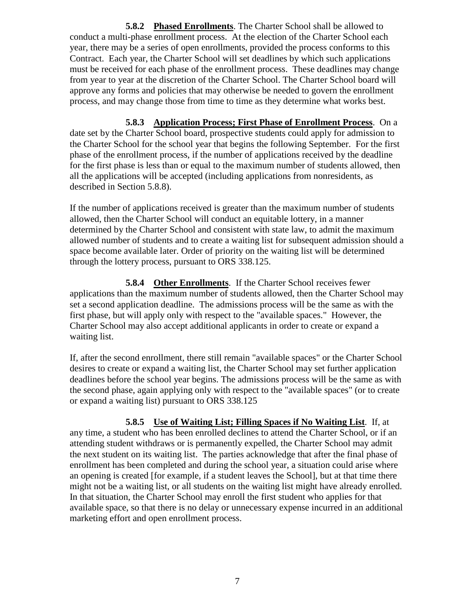**5.8.2 Phased Enrollments**. The Charter School shall be allowed to conduct a multi-phase enrollment process. At the election of the Charter School each year, there may be a series of open enrollments, provided the process conforms to this Contract. Each year, the Charter School will set deadlines by which such applications must be received for each phase of the enrollment process. These deadlines may change from year to year at the discretion of the Charter School. The Charter School board will approve any forms and policies that may otherwise be needed to govern the enrollment process, and may change those from time to time as they determine what works best.

**5.8.3 Application Process; First Phase of Enrollment Process**. On a date set by the Charter School board, prospective students could apply for admission to the Charter School for the school year that begins the following September. For the first phase of the enrollment process, if the number of applications received by the deadline for the first phase is less than or equal to the maximum number of students allowed, then all the applications will be accepted (including applications from nonresidents, as described in Section 5.8.8).

If the number of applications received is greater than the maximum number of students allowed, then the Charter School will conduct an equitable lottery, in a manner determined by the Charter School and consistent with state law, to admit the maximum allowed number of students and to create a waiting list for subsequent admission should a space become available later. Order of priority on the waiting list will be determined through the lottery process, pursuant to ORS 338.125.

**5.8.4 Other Enrollments**. If the Charter School receives fewer applications than the maximum number of students allowed, then the Charter School may set a second application deadline. The admissions process will be the same as with the first phase, but will apply only with respect to the "available spaces." However, the Charter School may also accept additional applicants in order to create or expand a waiting list.

If, after the second enrollment, there still remain "available spaces" or the Charter School desires to create or expand a waiting list, the Charter School may set further application deadlines before the school year begins. The admissions process will be the same as with the second phase, again applying only with respect to the "available spaces" (or to create or expand a waiting list) pursuant to ORS 338.125

**5.8.5 Use of Waiting List; Filling Spaces if No Waiting List**. If, at any time, a student who has been enrolled declines to attend the Charter School, or if an attending student withdraws or is permanently expelled, the Charter School may admit the next student on its waiting list. The parties acknowledge that after the final phase of enrollment has been completed and during the school year, a situation could arise where an opening is created [for example, if a student leaves the School], but at that time there might not be a waiting list, or all students on the waiting list might have already enrolled. In that situation, the Charter School may enroll the first student who applies for that available space, so that there is no delay or unnecessary expense incurred in an additional marketing effort and open enrollment process.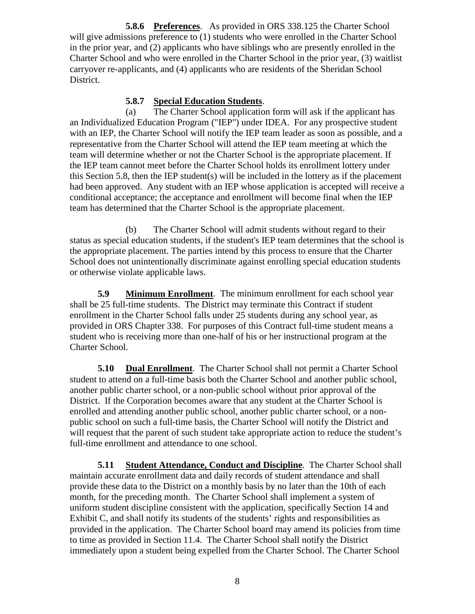**5.8.6 Preferences** . As provided in ORS 338.125 the Charter School will give admissions preference to (1) students who were enrolled in the Charter School in the prior year, and (2) applicants who have siblings who are presently enrolled in the Charter School and who were enrolled in the Charter School in the prior year, (3) waitlist carryover re-applicants, and (4) applicants who are residents of the Sheridan School District.

#### **5.8.7 Special Education Students** .

(a) The Charter School application form will ask if the applicant has an Individualized Education Program ("IEP") under IDEA. For any prospective student with an IEP, the Charter School will notify the IEP team leader as soon as possible, and a representative from the Charter School will attend the IEP team meeting at which the team will determine whether or not the Charter School is the appropriate placement. If the IEP team cannot meet before the Charter School holds its enrollment lottery under this Section 5.8, then the IEP student(s) will be included in the lottery as if the placement had been approved. Any student with an IEP whose application is accepted will receive a conditional acceptance; the acceptance and enrollment will become final when the IEP team has determined that the Charter School is the appropriate placement.

(b) The Charter School will admit students without regard to their status as special education students, if the student's IEP team determines that the school is the appropriate placement. The parties intend by this process to ensure that the Charter School does not unintentionally discriminate against enrolling special education students or otherwise violate applicable laws.

**5.9 Minimum Enrollment**. The minimum enrollment for each school year shall be 25 full-time students. The District may terminate this Contract if student enrollment in the Charter School falls under 25 students during any school year, as provided in ORS Chapter 338. For purposes of this Contract full-time student means a student who is receiving more than one-half of his or her instructional program at the Charter School.

**5.10 Dual Enrollment**. The Charter School shall not permit a Charter School student to attend on a full-time basis both the Charter School and another public school, another public charter school, or a non-public school without prior approval of the District. If the Corporation becomes aware that any student at the Charter School is enrolled and attending another public school, another public charter school, or a nonpublic school on such a full-time basis, the Charter School will notify the District and will request that the parent of such student take appropriate action to reduce the student's full-time enrollment and attendance to one school.

**5.11 Student Attendance, Conduct and Discipline**. The Charter School shall maintain accurate enrollment data and daily records of student attendance and shall provide these data to the District on a monthly basis by no later than the 10th of each month, for the preceding month. The Charter School shall implement a system of uniform student discipline consistent with the application, specifically Section 14 and Exhibit C, and shall notify its students of the students' rights and responsibilities as provided in the application. The Charter School board may amend its policies from time to time as provided in Section 11.4. The Charter School shall notify the District immediately upon a student being expelled from the Charter School. The Charter School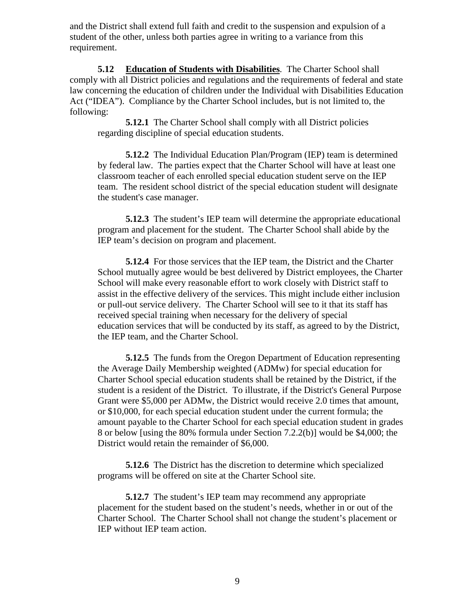and the District shall extend full faith and credit to the suspension and expulsion of a student of the other, unless both parties agree in writing to a variance from this requirement.

5.12 Education of Students with Disabilities. The Charter School shall comply with all District policies and regulations and the requirements of federal and state law concerning the education of children under the Individual with Disabilities Education Act ("IDEA"). Compliance by the Charter School includes, but is not limited to, the following:

**5.12.1** The Charter School shall comply with all District policies regarding discipline of special education students.

**5.12.2** The Individual Education Plan/Program (IEP) team is determined by federal law. The parties expect that the Charter School will have at least one classroom teacher of each enrolled special education student serve on the IEP team. The resident school district of the special education student will designate the student's case manager.

**5.12.3** The student's IEP team will determine the appropriate educational program and placement for the student. The Charter School shall abide by the IEP team's decision on program and placement.

**5.12.4** For those services that the IEP team, the District and the Charter School mutually agree would be best delivered by District employees, the Charter School will make every reasonable effort to work closely with District staff to assist in the effective delivery of the services. This might include either inclusion or pull-out service delivery. The Charter School will see to it that its staff has received special training when necessary for the delivery of special education services that will be conducted by its staff, as agreed to by the District, the IEP team, and the Charter School.

**5.12.5** The funds from the Oregon Department of Education representing the Average Daily Membership weighted (ADMw) for special education for Charter School special education students shall be retained by the District, if the student is a resident of the District. To illustrate, if the District's General Purpose Grant were \$5,000 per ADMw, the District would receive 2.0 times that amount, or \$10,000, for each special education student under the current formula; the amount payable to the Charter School for each special education student in grades 8 or below [using the 80% formula under Section 7.2.2(b)] would be \$4,000; the District would retain the remainder of \$6,000.

**5.12.6** The District has the discretion to determine which specialized programs will be offered on site at the Charter School site.

**5.12.7** The student's IEP team may recommend any appropriate placement for the student based on the student's needs, whether in or out of the Charter School. The Charter School shall not change the student's placement or IEP without IEP team action.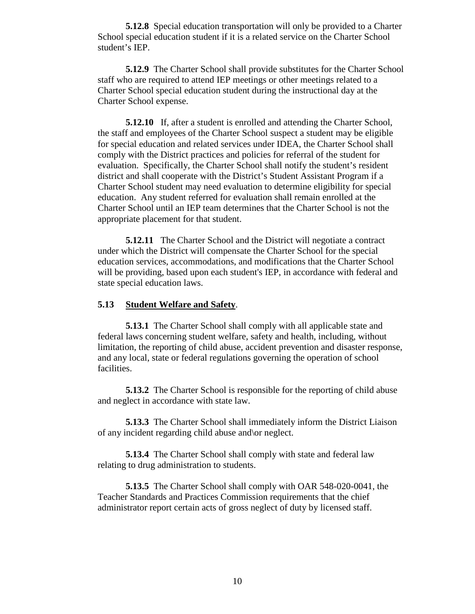**5.12.8** Special education transportation will only be provided to a Charter School special education student if it is a related service on the Charter School student's IEP.

**5.12.9** The Charter School shall provide substitutes for the Charter School staff who are required to attend IEP meetings or other meetings related to a Charter School special education student during the instructional day at the Charter School expense.

**5.12.10** If, after a student is enrolled and attending the Charter School, the staff and employees of the Charter School suspect a student may be eligible for special education and related services under IDEA, the Charter School shall comply with the District practices and policies for referral of the student for evaluation. Specifically, the Charter School shall notify the student's resident district and shall cooperate with the District's Student Assistant Program if a Charter School student may need evaluation to determine eligibility for special education. Any student referred for evaluation shall remain enrolled at the Charter School until an IEP team determines that the Charter School is not the appropriate placement for that student.

**5.12.11** The Charter School and the District will negotiate a contract under which the District will compensate the Charter School for the special education services, accommodations, and modifications that the Charter School will be providing, based upon each student's IEP, in accordance with federal and state special education laws.

#### **5.13 Student Welfare and Safety**.

**5.13.1** The Charter School shall comply with all applicable state and federal laws concerning student welfare, safety and health, including, without limitation, the reporting of child abuse, accident prevention and disaster response, and any local, state or federal regulations governing the operation of school facilities.

**5.13.2** The Charter School is responsible for the reporting of child abuse and neglect in accordance with state law.

**5.13.3** The Charter School shall immediately inform the District Liaison of any incident regarding child abuse and\or neglect.

**5.13.4** The Charter School shall comply with state and federal law relating to drug administration to students.

**5.13.5** The Charter School shall comply with OAR 548-020-0041, the Teacher Standards and Practices Commission requirements that the chief administrator report certain acts of gross neglect of duty by licensed staff.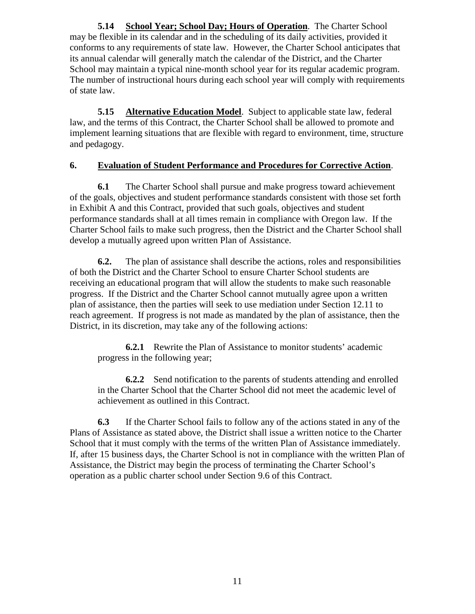5.14 **School Year; School Day; Hours of Operation**. The Charter School may be flexible in its calendar and in the scheduling of its daily activities, provided it conforms to any requirements of state law. However, the Charter School anticipates that its annual calendar will generally match the calendar of the District, and the Charter School may maintain a typical nine-month school year for its regular academic program. The number of instructional hours during each school year will comply with requirements of state law.

**5.15 Alternative Education Model**. Subject to applicable state law, federal law, and the terms of this Contract, the Charter School shall be allowed to promote and implement learning situations that are flexible with regard to environment, time, structure and pedagogy.

# **6. Evaluation of Student Performance and Procedures for Corrective Action**.

**6.1** The Charter School shall pursue and make progress toward achievement of the goals, objectives and student performance standards consistent with those set forth in Exhibit A and this Contract, provided that such goals, objectives and student performance standards shall at all times remain in compliance with Oregon law. If the Charter School fails to make such progress, then the District and the Charter School shall develop a mutually agreed upon written Plan of Assistance.

**6.2.** The plan of assistance shall describe the actions, roles and responsibilities of both the District and the Charter School to ensure Charter School students are receiving an educational program that will allow the students to make such reasonable progress. If the District and the Charter School cannot mutually agree upon a written plan of assistance, then the parties will seek to use mediation under Section 12.11 to reach agreement. If progress is not made as mandated by the plan of assistance, then the District, in its discretion, may take any of the following actions:

**6.2.1** Rewrite the Plan of Assistance to monitor students' academic progress in the following year;

**6.2.2** Send notification to the parents of students attending and enrolled in the Charter School that the Charter School did not meet the academic level of achievement as outlined in this Contract.

**6.3** If the Charter School fails to follow any of the actions stated in any of the Plans of Assistance as stated above, the District shall issue a written notice to the Charter School that it must comply with the terms of the written Plan of Assistance immediately. If, after 15 business days, the Charter School is not in compliance with the written Plan of Assistance, the District may begin the process of terminating the Charter School's operation as a public charter school under Section 9.6 of this Contract.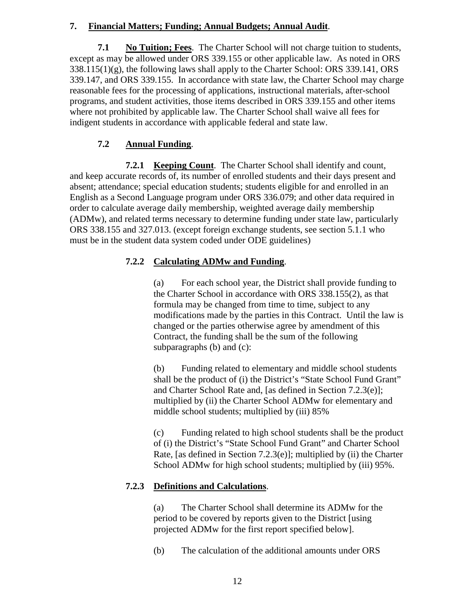# **7. Financial Matters; Funding; Annual Budgets; Annual Audit** .

**7.1 No Tuition; Fees** . The Charter School will not charge tuition to students, except as may be allowed under ORS 339.155 or other applicable law. As noted in ORS 338.115(1)(g), the following laws shall apply to the Charter School: ORS 339.141, ORS 339.147, and ORS 339.155. In accordance with state law, the Charter School may charge reasonable fees for the processing of applications, instructional materials, after-school programs, and student activities, those items described in ORS 339.155 and other items where not prohibited by applicable law. The Charter School shall waive all fees for indigent students in accordance with applicable federal and state law.

#### **7.2 Annual Funding** .

**7.2.1 Keeping Count**. The Charter School shall identify and count, and keep accurate records of, its number of enrolled students and their days present and absent; attendance; special education students; students eligible for and enrolled in an English as a Second Language program under ORS 336.079; and other data required in order to calculate average daily membership, weighted average daily membership (ADMw), and related terms necessary to determine funding under state law, particularly ORS 338.155 and 327.013. (except foreign exchange students, see section 5.1.1 who must be in the student data system coded under ODE guidelines)

# **7.2.2 Calculating ADMw and Funding**.

(a) For each school year, the District shall provide funding to the Charter School in accordance with ORS 338.155(2), as that formula may be changed from time to time, subject to any modifications made by the parties in this Contract. Until the law is changed or the parties otherwise agree by amendment of this Contract, the funding shall be the sum of the following subparagraphs (b) and (c):

(b) Funding related to elementary and middle school students shall be the product of (i) the District's "State School Fund Grant" and Charter School Rate and, [as defined in Section 7.2.3(e)]; multiplied by (ii) the Charter School ADMw for elementary and middle school students; multiplied by (iii) 85%

(c) Funding related to high school students shall be the product of (i) the District's "State School Fund Grant" and Charter School Rate, [as defined in Section 7.2.3(e)]; multiplied by (ii) the Charter School ADMw for high school students; multiplied by (iii) 95%.

# **7.2.3 Definitions and Calculations**.

(a) The Charter School shall determine its ADMw for the period to be covered by reports given to the District [using projected ADMw for the first report specified below].

(b) The calculation of the additional amounts under ORS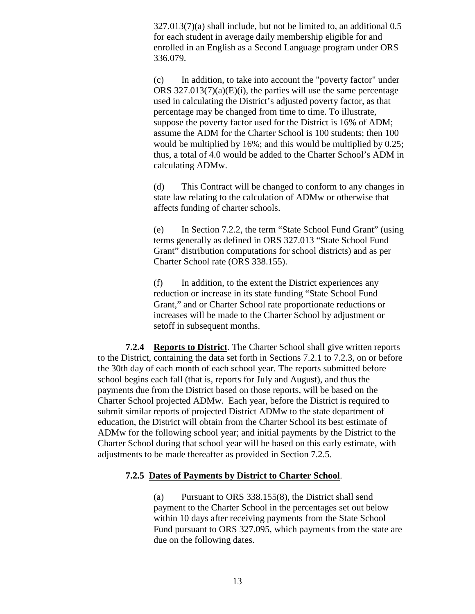327.013(7)(a) shall include, but not be limited to, an additional 0.5 for each student in average daily membership eligible for and enrolled in an English as a Second Language program under ORS 336.079.

(c) In addition, to take into account the "poverty factor" under ORS  $327.013(7)(a)(E)(i)$ , the parties will use the same percentage used in calculating the District's adjusted poverty factor, as that percentage may be changed from time to time. To illustrate, suppose the poverty factor used for the District is 16% of ADM; assume the ADM for the Charter School is 100 students; then 100 would be multiplied by 16%; and this would be multiplied by 0.25; thus, a total of 4.0 would be added to the Charter School's ADM in calculating ADMw.

(d) This Contract will be changed to conform to any changes in state law relating to the calculation of ADMw or otherwise that affects funding of charter schools.

(e) In Section 7.2.2, the term "State School Fund Grant" (using terms generally as defined in ORS 327.013 "State School Fund Grant" distribution computations for school districts) and as per Charter School rate (ORS 338.155).

(f) In addition, to the extent the District experiences any reduction or increase in its state funding "State School Fund Grant," and or Charter School rate proportionate reductions or increases will be made to the Charter School by adjustment or setoff in subsequent months.

**7.2.4 Reports to District**. The Charter School shall give written reports to the District, containing the data set forth in Sections 7.2.1 to 7.2.3, on or before the 30th day of each month of each school year. The reports submitted before school begins each fall (that is, reports for July and August), and thus the payments due from the District based on those reports, will be based on the Charter School projected ADMw. Each year, before the District is required to submit similar reports of projected District ADMw to the state department of education, the District will obtain from the Charter School its best estimate of ADMw for the following school year; and initial payments by the District to the Charter School during that school year will be based on this early estimate, with adjustments to be made thereafter as provided in Section 7.2.5.

#### **7.2.5 Dates of Payments by District to Charter School**.

(a) Pursuant to ORS 338.155(8), the District shall send payment to the Charter School in the percentages set out below within 10 days after receiving payments from the State School Fund pursuant to ORS 327.095, which payments from the state are due on the following dates.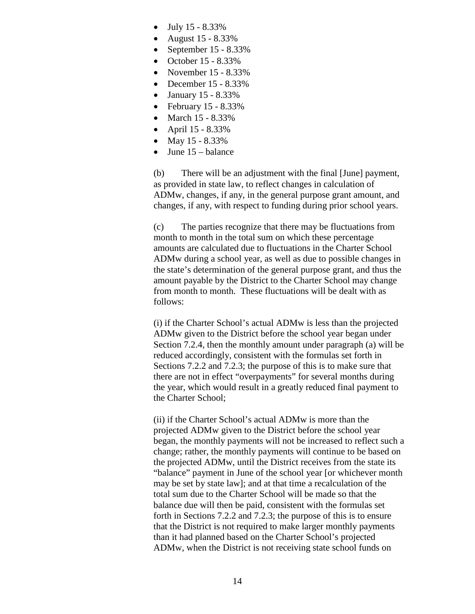- July 15 8.33%
- August 15 8.33%
- September 15 8.33%
- October 15 8.33%
- November 15 8.33%
- December 15 8.33%
- January 15 8.33%
- February 15 8.33%
- March 15 8.33%
- April 15 8.33%
- May  $15 8.33\%$
- June 15 balance

(b) There will be an adjustment with the final [June] payment, as provided in state law, to reflect changes in calculation of ADMw, changes, if any, in the general purpose grant amount, and changes, if any, with respect to funding during prior school years.

(c) The parties recognize that there may be fluctuations from month to month in the total sum on which these percentage amounts are calculated due to fluctuations in the Charter School ADMw during a school year, as well as due to possible changes in the state's determination of the general purpose grant, and thus the amount payable by the District to the Charter School may change from month to month. These fluctuations will be dealt with as follows:

(i) if the Charter School's actual ADMw is less than the projected ADMw given to the District before the school year began under Section 7.2.4, then the monthly amount under paragraph (a) will be reduced accordingly, consistent with the formulas set forth in Sections 7.2.2 and 7.2.3; the purpose of this is to make sure that there are not in effect "overpayments" for several months during the year, which would result in a greatly reduced final payment to the Charter School;

(ii) if the Charter School's actual ADMw is more than the projected ADMw given to the District before the school year began, the monthly payments will not be increased to reflect such a change; rather, the monthly payments will continue to be based on the projected ADMw, until the District receives from the state its "balance" payment in June of the school year [or whichever month may be set by state law]; and at that time a recalculation of the total sum due to the Charter School will be made so that the balance due will then be paid, consistent with the formulas set forth in Sections 7.2.2 and 7.2.3; the purpose of this is to ensure that the District is not required to make larger monthly payments than it had planned based on the Charter School's projected ADMw, when the District is not receiving state school funds on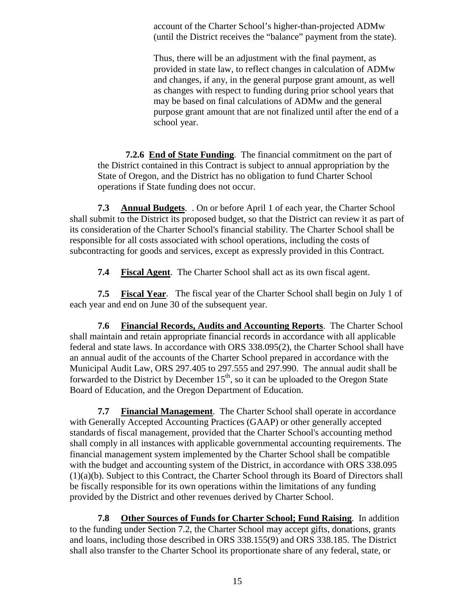account of the Charter School's higher-than-projected ADMw (until the District receives the "balance" payment from the state).

Thus, there will be an adjustment with the final payment, as provided in state law, to reflect changes in calculation of ADMw and changes, if any, in the general purpose grant amount, as well as changes with respect to funding during prior school years that may be based on final calculations of ADMw and the general purpose grant amount that are not finalized until after the end of a school year.

**7.2.6 End of State Funding**. The financial commitment on the part of the District contained in this Contract is subject to annual appropriation by the State of Oregon, and the District has no obligation to fund Charter School operations if State funding does not occur.

**7.3 Annual Budgets**. . On or before April 1 of each year, the Charter School shall submit to the District its proposed budget, so that the District can review it as part of its consideration of the Charter School's financial stability. The Charter School shall be responsible for all costs associated with school operations, including the costs of subcontracting for goods and services, except as expressly provided in this Contract.

**7.4 Fiscal Agent**. The Charter School shall act as its own fiscal agent.

**7.5 Fiscal Year**. The fiscal year of the Charter School shall begin on July 1 of each year and end on June 30 of the subsequent year.

**7.6 Financial Records, Audits and Accounting Reports**. The Charter School shall maintain and retain appropriate financial records in accordance with all applicable federal and state laws. In accordance with ORS 338.095(2), the Charter School shall have an annual audit of the accounts of the Charter School prepared in accordance with the Municipal Audit Law, ORS 297.405 to 297.555 and 297.990. The annual audit shall be forwarded to the District by December  $15<sup>th</sup>$ , so it can be uploaded to the Oregon State Board of Education, and the Oregon Department of Education.

**7.7 Financial Management**. The Charter School shall operate in accordance with Generally Accepted Accounting Practices (GAAP) or other generally accepted standards of fiscal management, provided that the Charter School's accounting method shall comply in all instances with applicable governmental accounting requirements. The financial management system implemented by the Charter School shall be compatible with the budget and accounting system of the District, in accordance with ORS 338.095 (1)(a)(b). Subject to this Contract, the Charter School through its Board of Directors shall be fiscally responsible for its own operations within the limitations of any funding provided by the District and other revenues derived by Charter School.

**7.8 Other Sources of Funds for Charter School; Fund Raising**. In addition to the funding under Section 7.2, the Charter School may accept gifts, donations, grants and loans, including those described in ORS 338.155(9) and ORS 338.185. The District shall also transfer to the Charter School its proportionate share of any federal, state, or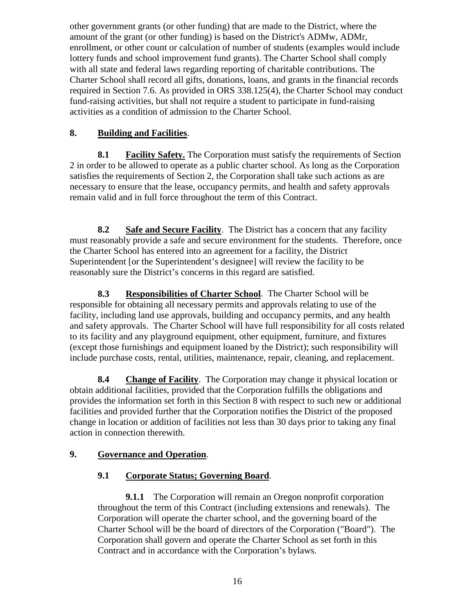other government grants (or other funding) that are made to the District, where the amount of the grant (or other funding) is based on the District's ADMw, ADMr, enrollment, or other count or calculation of number of students (examples would include lottery funds and school improvement fund grants). The Charter School shall comply with all state and federal laws regarding reporting of charitable contributions. The Charter School shall record all gifts, donations, loans, and grants in the financial records required in Section 7.6. As provided in ORS 338.125(4), the Charter School may conduct fund-raising activities, but shall not require a student to participate in fund-raising activities as a condition of admission to the Charter School.

# **8. Building and Facilities**.

**8.1 Facility Safety.** The Corporation must satisfy the requirements of Section 2 in order to be allowed to operate as a public charter school. As long as the Corporation satisfies the requirements of Section 2, the Corporation shall take such actions as are necessary to ensure that the lease, occupancy permits, and health and safety approvals remain valid and in full force throughout the term of this Contract.

**8.2 Safe and Secure Facility**. The District has a concern that any facility must reasonably provide a safe and secure environment for the students. Therefore, once the Charter School has entered into an agreement for a facility, the District Superintendent [or the Superintendent's designee] will review the facility to be reasonably sure the District's concerns in this regard are satisfied.

**8.3 Responsibilities of Charter School**. The Charter School will be responsible for obtaining all necessary permits and approvals relating to use of the facility, including land use approvals, building and occupancy permits, and any health and safety approvals. The Charter School will have full responsibility for all costs related to its facility and any playground equipment, other equipment, furniture, and fixtures (except those furnishings and equipment loaned by the District); such responsibility will include purchase costs, rental, utilities, maintenance, repair, cleaning, and replacement.

**8.4 Change of Facility**. The Corporation may change it physical location or obtain additional facilities, provided that the Corporation fulfills the obligations and provides the information set forth in this Section 8 with respect to such new or additional facilities and provided further that the Corporation notifies the District of the proposed change in location or addition of facilities not less than 30 days prior to taking any final action in connection therewith.

# **9. Governance and Operation**.

# **9.1 Corporate Status; Governing Board**.

**9.1.1** The Corporation will remain an Oregon nonprofit corporation throughout the term of this Contract (including extensions and renewals). The Corporation will operate the charter school, and the governing board of the Charter School will be the board of directors of the Corporation ("Board"). The Corporation shall govern and operate the Charter School as set forth in this Contract and in accordance with the Corporation's bylaws.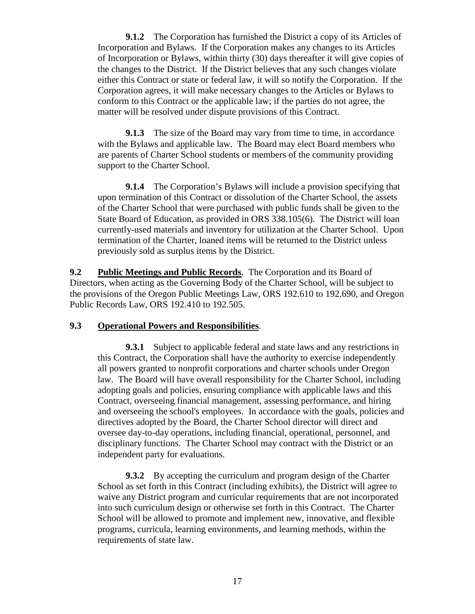**9.1.2** The Corporation has furnished the District a copy of its Articles of Incorporation and Bylaws. If the Corporation makes any changes to its Articles of Incorporation or Bylaws, within thirty (30) days thereafter it will give copies of the changes to the District. If the District believes that any such changes violate either this Contract or state or federal law, it will so notify the Corporation. If the Corporation agrees, it will make necessary changes to the Articles or Bylaws to conform to this Contract or the applicable law; if the parties do not agree, the matter will be resolved under dispute provisions of this Contract.

**9.1.3** The size of the Board may vary from time to time, in accordance with the Bylaws and applicable law. The Board may elect Board members who are parents of Charter School students or members of the community providing support to the Charter School.

**9.1.4** The Corporation's Bylaws will include a provision specifying that upon termination of this Contract or dissolution of the Charter School, the assets of the Charter School that were purchased with public funds shall be given to the State Board of Education, as provided in ORS 338.105(6). The District will loan currently-used materials and inventory for utilization at the Charter School. Upon termination of the Charter, loaned items will be returned to the District unless previously sold as surplus items by the District.

**9.2 Public Meetings and Public Records**. The Corporation and its Board of Directors, when acting as the Governing Body of the Charter School, will be subject to the provisions of the Oregon Public Meetings Law, ORS 192.610 to 192.690, and Oregon Public Records Law, ORS 192.410 to 192.505.

#### **9.3 Operational Powers and Responsibilities**.

**9.3.1** Subject to applicable federal and state laws and any restrictions in this Contract, the Corporation shall have the authority to exercise independently all powers granted to nonprofit corporations and charter schools under Oregon law. The Board will have overall responsibility for the Charter School, including adopting goals and policies, ensuring compliance with applicable laws and this Contract, overseeing financial management, assessing performance, and hiring and overseeing the school's employees. In accordance with the goals, policies and directives adopted by the Board, the Charter School director will direct and oversee day-to-day operations, including financial, operational, personnel, and disciplinary functions. The Charter School may contract with the District or an independent party for evaluations.

**9.3.2** By accepting the curriculum and program design of the Charter School as set forth in this Contract (including exhibits), the District will agree to waive any District program and curricular requirements that are not incorporated into such curriculum design or otherwise set forth in this Contract. The Charter School will be allowed to promote and implement new, innovative, and flexible programs, curricula, learning environments, and learning methods, within the requirements of state law.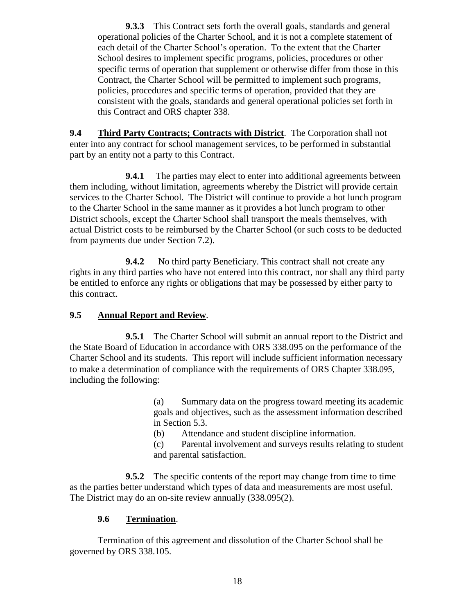**9.3.3** This Contract sets forth the overall goals, standards and general operational policies of the Charter School, and it is not a complete statement of each detail of the Charter School's operation. To the extent that the Charter School desires to implement specific programs, policies, procedures or other specific terms of operation that supplement or otherwise differ from those in this Contract, the Charter School will be permitted to implement such programs, policies, procedures and specific terms of operation, provided that they are consistent with the goals, standards and general operational policies set forth in this Contract and ORS chapter 338.

**9.4 Third Party Contracts; Contracts with District**. The Corporation shall not enter into any contract for school management services, to be performed in substantial part by an entity not a party to this Contract.

**9.4.1** The parties may elect to enter into additional agreements between them including, without limitation, agreements whereby the District will provide certain services to the Charter School. The District will continue to provide a hot lunch program to the Charter School in the same manner as it provides a hot lunch program to other District schools, except the Charter School shall transport the meals themselves, with actual District costs to be reimbursed by the Charter School (or such costs to be deducted from payments due under Section 7.2).

**9.4.2** No third party Beneficiary. This contract shall not create any rights in any third parties who have not entered into this contract, nor shall any third party be entitled to enforce any rights or obligations that may be possessed by either party to this contract.

# **9.5 Annual Report and Review**.

**9.5.1** The Charter School will submit an annual report to the District and the State Board of Education in accordance with ORS 338.095 on the performance of the Charter School and its students. This report will include sufficient information necessary to make a determination of compliance with the requirements of ORS Chapter 338.095, including the following:

> (a) Summary data on the progress toward meeting its academic goals and objectives, such as the assessment information described in Section 5.3.

(b) Attendance and student discipline information.

(c) Parental involvement and surveys results relating to student and parental satisfaction.

**9.5.2** The specific contents of the report may change from time to time as the parties better understand which types of data and measurements are most useful. The District may do an on-site review annually (338.095(2).

# **9.6 Termination**.

Termination of this agreement and dissolution of the Charter School shall be governed by ORS 338.105.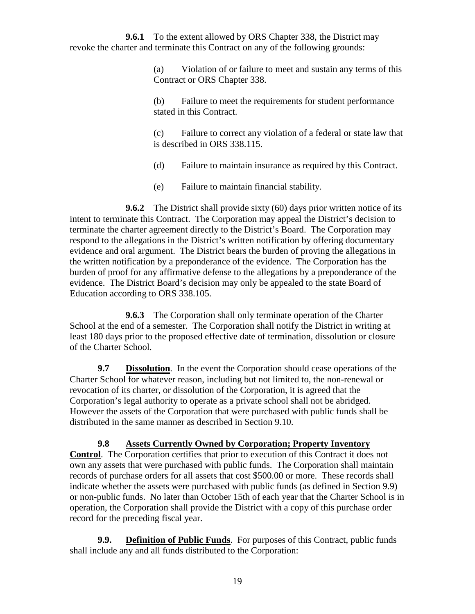**9.6.1** To the extent allowed by ORS Chapter 338, the District may revoke the charter and terminate this Contract on any of the following grounds:

> (a) Violation of or failure to meet and sustain any terms of this Contract or ORS Chapter 338.

(b) Failure to meet the requirements for student performance stated in this Contract.

(c) Failure to correct any violation of a federal or state law that is described in ORS 338.115.

(d) Failure to maintain insurance as required by this Contract.

(e) Failure to maintain financial stability.

**9.6.2** The District shall provide sixty (60) days prior written notice of its intent to terminate this Contract. The Corporation may appeal the District's decision to terminate the charter agreement directly to the District's Board. The Corporation may respond to the allegations in the District's written notification by offering documentary evidence and oral argument. The District bears the burden of proving the allegations in the written notification by a preponderance of the evidence. The Corporation has the burden of proof for any affirmative defense to the allegations by a preponderance of the evidence. The District Board's decision may only be appealed to the state Board of Education according to ORS 338.105.

**9.6.3** The Corporation shall only terminate operation of the Charter School at the end of a semester. The Corporation shall notify the District in writing at least 180 days prior to the proposed effective date of termination, dissolution or closure of the Charter School.

**9.7 Dissolution**. In the event the Corporation should cease operations of the Charter School for whatever reason, including but not limited to, the non-renewal or revocation of its charter, or dissolution of the Corporation, it is agreed that the Corporation's legal authority to operate as a private school shall not be abridged. However the assets of the Corporation that were purchased with public funds shall be distributed in the same manner as described in Section 9.10.

**9.8 Assets Currently Owned by Corporation; Property Inventory Control**. The Corporation certifies that prior to execution of this Contract it does not own any assets that were purchased with public funds. The Corporation shall maintain records of purchase orders for all assets that cost \$500.00 or more. These records shall indicate whether the assets were purchased with public funds (as defined in Section 9.9) or non-public funds. No later than October 15th of each year that the Charter School is in operation, the Corporation shall provide the District with a copy of this purchase order record for the preceding fiscal year.

**9.9. Definition of Public Funds**. For purposes of this Contract, public funds shall include any and all funds distributed to the Corporation: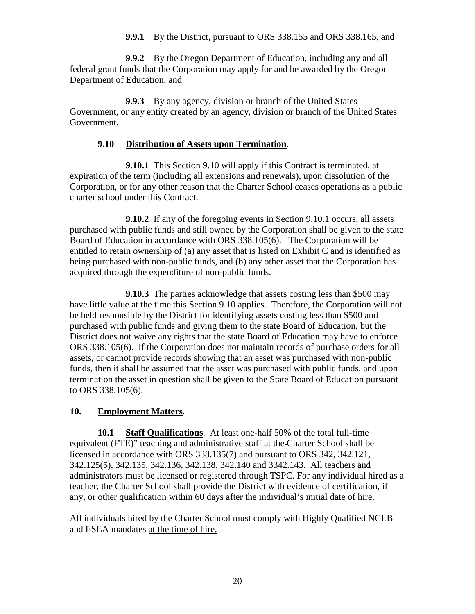**9.9.1** By the District, pursuant to ORS 338.155 and ORS 338.165, and

**9.9.2** By the Oregon Department of Education, including any and all federal grant funds that the Corporation may apply for and be awarded by the Oregon Department of Education, and

**9.9.3** By any agency, division or branch of the United States Government, or any entity created by an agency, division or branch of the United States Government.

## **9.10 Distribution of Assets upon Termination**.

**9.10.1** This Section 9.10 will apply if this Contract is terminated, at expiration of the term (including all extensions and renewals), upon dissolution of the Corporation, or for any other reason that the Charter School ceases operations as a public charter school under this Contract.

**9.10.2** If any of the foregoing events in Section 9.10.1 occurs, all assets purchased with public funds and still owned by the Corporation shall be given to the state Board of Education in accordance with ORS 338.105(6). The Corporation will be entitled to retain ownership of (a) any asset that is listed on Exhibit C and is identified as being purchased with non-public funds, and (b) any other asset that the Corporation has acquired through the expenditure of non-public funds.

**9.10.3** The parties acknowledge that assets costing less than \$500 may have little value at the time this Section 9.10 applies. Therefore, the Corporation will not be held responsible by the District for identifying assets costing less than \$500 and purchased with public funds and giving them to the state Board of Education, but the District does not waive any rights that the state Board of Education may have to enforce ORS 338.105(6). If the Corporation does not maintain records of purchase orders for all assets, or cannot provide records showing that an asset was purchased with non-public funds, then it shall be assumed that the asset was purchased with public funds, and upon termination the asset in question shall be given to the State Board of Education pursuant to ORS 338.105(6).

#### **10. Employment Matters**.

**10.1 Staff Qualifications**. At least one-half 50% of the total full-time equivalent (FTE)" teaching and administrative staff at the Charter School shall be licensed in accordance with ORS 338.135(7) and pursuant to ORS 342, 342.121, 342.125(5), 342.135, 342.136, 342.138, 342.140 and 3342.143. All teachers and administrators must be licensed or registered through TSPC. For any individual hired as a teacher, the Charter School shall provide the District with evidence of certification, if any, or other qualification within 60 days after the individual's initial date of hire.

All individuals hired by the Charter School must comply with Highly Qualified NCLB and ESEA mandates at the time of hire.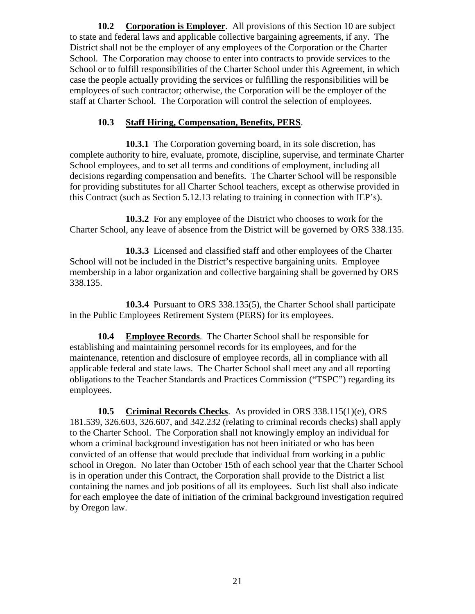**10.2 Corporation is Employer**. All provisions of this Section 10 are subject to state and federal laws and applicable collective bargaining agreements, if any. The District shall not be the employer of any employees of the Corporation or the Charter School. The Corporation may choose to enter into contracts to provide services to the School or to fulfill responsibilities of the Charter School under this Agreement, in which case the people actually providing the services or fulfilling the responsibilities will be employees of such contractor; otherwise, the Corporation will be the employer of the staff at Charter School. The Corporation will control the selection of employees.

# **10.3 Staff Hiring, Compensation, Benefits, PERS**.

**10.3.1** The Corporation governing board, in its sole discretion, has complete authority to hire, evaluate, promote, discipline, supervise, and terminate Charter School employees, and to set all terms and conditions of employment, including all decisions regarding compensation and benefits. The Charter School will be responsible for providing substitutes for all Charter School teachers, except as otherwise provided in this Contract (such as Section 5.12.13 relating to training in connection with IEP's).

**10.3.2** For any employee of the District who chooses to work for the Charter School, any leave of absence from the District will be governed by ORS 338.135.

**10.3.3** Licensed and classified staff and other employees of the Charter School will not be included in the District's respective bargaining units. Employee membership in a labor organization and collective bargaining shall be governed by ORS 338.135.

**10.3.4** Pursuant to ORS 338.135(5), the Charter School shall participate in the Public Employees Retirement System (PERS) for its employees.

**10.4 Employee Records**. The Charter School shall be responsible for establishing and maintaining personnel records for its employees, and for the maintenance, retention and disclosure of employee records, all in compliance with all applicable federal and state laws. The Charter School shall meet any and all reporting obligations to the Teacher Standards and Practices Commission ("TSPC") regarding its employees.

**10.5 Criminal Records Checks**. As provided in ORS 338.115(1)(e), ORS 181.539, 326.603, 326.607, and 342.232 (relating to criminal records checks) shall apply to the Charter School. The Corporation shall not knowingly employ an individual for whom a criminal background investigation has not been initiated or who has been convicted of an offense that would preclude that individual from working in a public school in Oregon. No later than October 15th of each school year that the Charter School is in operation under this Contract, the Corporation shall provide to the District a list containing the names and job positions of all its employees. Such list shall also indicate for each employee the date of initiation of the criminal background investigation required by Oregon law.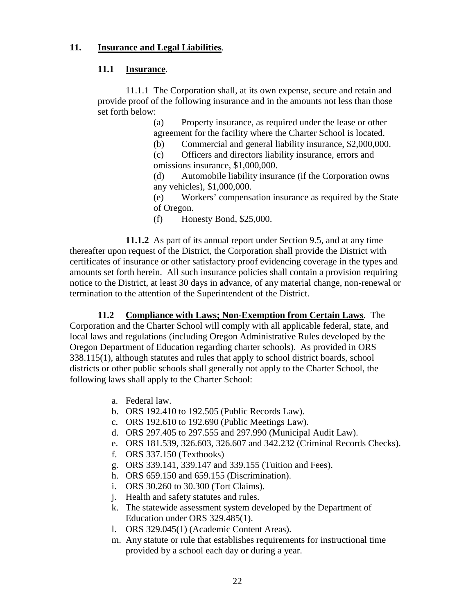### **11. Insurance and Legal Liabilities**.

## **11.1 Insurance**.

11.1.1 The Corporation shall, at its own expense, secure and retain and provide proof of the following insurance and in the amounts not less than those set forth below:

> (a) Property insurance, as required under the lease or other agreement for the facility where the Charter School is located.

(b) Commercial and general liability insurance, \$2,000,000.

(c) Officers and directors liability insurance, errors and omissions insurance, \$1,000,000.

(d) Automobile liability insurance (if the Corporation owns any vehicles), \$1,000,000.

(e) Workers' compensation insurance as required by the State of Oregon.

(f) Honesty Bond, \$25,000.

**11.1.2** As part of its annual report under Section 9.5, and at any time thereafter upon request of the District, the Corporation shall provide the District with certificates of insurance or other satisfactory proof evidencing coverage in the types and amounts set forth herein. All such insurance policies shall contain a provision requiring notice to the District, at least 30 days in advance, of any material change, non-renewal or termination to the attention of the Superintendent of the District.

**11.2 Compliance with Laws; Non-Exemption from Certain Laws**. The Corporation and the Charter School will comply with all applicable federal, state, and local laws and regulations (including Oregon Administrative Rules developed by the Oregon Department of Education regarding charter schools). As provided in ORS 338.115(1), although statutes and rules that apply to school district boards, school districts or other public schools shall generally not apply to the Charter School, the following laws shall apply to the Charter School:

- a. Federal law.
- b. ORS 192.410 to 192.505 (Public Records Law).
- c. ORS 192.610 to 192.690 (Public Meetings Law).
- d. ORS 297.405 to 297.555 and 297.990 (Municipal Audit Law).
- e. ORS 181.539, 326.603, 326.607 and 342.232 (Criminal Records Checks).
- f. ORS 337.150 (Textbooks)
- g. ORS 339.141, 339.147 and 339.155 (Tuition and Fees).
- h. ORS 659.150 and 659.155 (Discrimination).
- i. ORS 30.260 to 30.300 (Tort Claims).
- j. Health and safety statutes and rules.
- k. The statewide assessment system developed by the Department of Education under ORS 329.485(1).
- l. ORS 329.045(1) (Academic Content Areas).
- m. Any statute or rule that establishes requirements for instructional time provided by a school each day or during a year.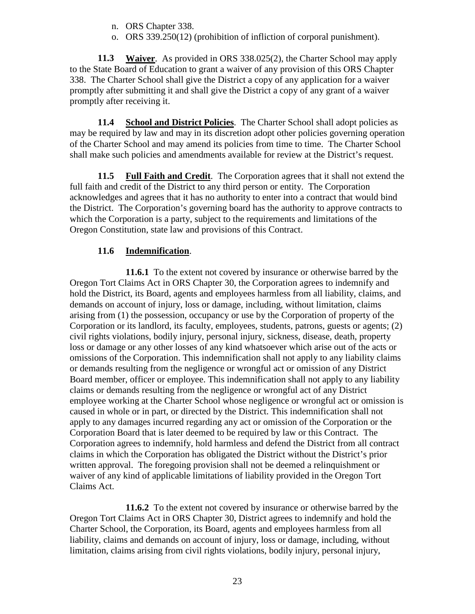- n. ORS Chapter 338.
- o. ORS 339.250(12) (prohibition of infliction of corporal punishment).

**11.3 Waiver**. As provided in ORS 338.025(2), the Charter School may apply to the State Board of Education to grant a waiver of any provision of this ORS Chapter 338. The Charter School shall give the District a copy of any application for a waiver promptly after submitting it and shall give the District a copy of any grant of a waiver promptly after receiving it.

**11.4 School and District Policies**. The Charter School shall adopt policies as may be required by law and may in its discretion adopt other policies governing operation of the Charter School and may amend its policies from time to time. The Charter School shall make such policies and amendments available for review at the District's request.

**11.5 Full Faith and Credit**. The Corporation agrees that it shall not extend the full faith and credit of the District to any third person or entity. The Corporation acknowledges and agrees that it has no authority to enter into a contract that would bind the District. The Corporation's governing board has the authority to approve contracts to which the Corporation is a party, subject to the requirements and limitations of the Oregon Constitution, state law and provisions of this Contract.

# **11.6 Indemnification**.

**11.6.1** To the extent not covered by insurance or otherwise barred by the Oregon Tort Claims Act in ORS Chapter 30, the Corporation agrees to indemnify and hold the District, its Board, agents and employees harmless from all liability, claims, and demands on account of injury, loss or damage, including, without limitation, claims arising from (1) the possession, occupancy or use by the Corporation of property of the Corporation or its landlord, its faculty, employees, students, patrons, guests or agents; (2) civil rights violations, bodily injury, personal injury, sickness, disease, death, property loss or damage or any other losses of any kind whatsoever which arise out of the acts or omissions of the Corporation. This indemnification shall not apply to any liability claims or demands resulting from the negligence or wrongful act or omission of any District Board member, officer or employee. This indemnification shall not apply to any liability claims or demands resulting from the negligence or wrongful act of any District employee working at the Charter School whose negligence or wrongful act or omission is caused in whole or in part, or directed by the District. This indemnification shall not apply to any damages incurred regarding any act or omission of the Corporation or the Corporation Board that is later deemed to be required by law or this Contract. The Corporation agrees to indemnify, hold harmless and defend the District from all contract claims in which the Corporation has obligated the District without the District's prior written approval. The foregoing provision shall not be deemed a relinquishment or waiver of any kind of applicable limitations of liability provided in the Oregon Tort Claims Act.

**11.6.2** To the extent not covered by insurance or otherwise barred by the Oregon Tort Claims Act in ORS Chapter 30, District agrees to indemnify and hold the Charter School, the Corporation, its Board, agents and employees harmless from all liability, claims and demands on account of injury, loss or damage, including, without limitation, claims arising from civil rights violations, bodily injury, personal injury,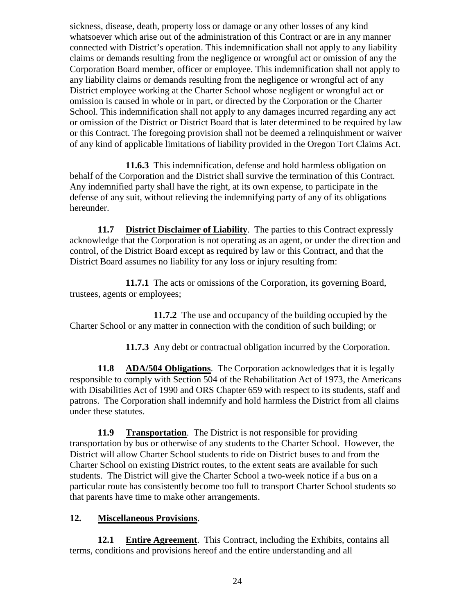sickness, disease, death, property loss or damage or any other losses of any kind whatsoever which arise out of the administration of this Contract or are in any manner connected with District's operation. This indemnification shall not apply to any liability claims or demands resulting from the negligence or wrongful act or omission of any the Corporation Board member, officer or employee. This indemnification shall not apply to any liability claims or demands resulting from the negligence or wrongful act of any District employee working at the Charter School whose negligent or wrongful act or omission is caused in whole or in part, or directed by the Corporation or the Charter School. This indemnification shall not apply to any damages incurred regarding any act or omission of the District or District Board that is later determined to be required by law or this Contract. The foregoing provision shall not be deemed a relinquishment or waiver of any kind of applicable limitations of liability provided in the Oregon Tort Claims Act.

**11.6.3** This indemnification, defense and hold harmless obligation on behalf of the Corporation and the District shall survive the termination of this Contract. Any indemnified party shall have the right, at its own expense, to participate in the defense of any suit, without relieving the indemnifying party of any of its obligations hereunder.

**11.7 District Disclaimer of Liability**. The parties to this Contract expressly acknowledge that the Corporation is not operating as an agent, or under the direction and control, of the District Board except as required by law or this Contract, and that the District Board assumes no liability for any loss or injury resulting from:

**11.7.1** The acts or omissions of the Corporation, its governing Board, trustees, agents or employees;

**11.7.2** The use and occupancy of the building occupied by the Charter School or any matter in connection with the condition of such building; or

**11.7.3** Any debt or contractual obligation incurred by the Corporation.

**11.8 ADA/504 Obligations**. The Corporation acknowledges that it is legally responsible to comply with Section 504 of the Rehabilitation Act of 1973, the Americans with Disabilities Act of 1990 and ORS Chapter 659 with respect to its students, staff and patrons. The Corporation shall indemnify and hold harmless the District from all claims under these statutes.

**11.9 Transportation**. The District is not responsible for providing transportation by bus or otherwise of any students to the Charter School. However, the District will allow Charter School students to ride on District buses to and from the Charter School on existing District routes, to the extent seats are available for such students. The District will give the Charter School a two-week notice if a bus on a particular route has consistently become too full to transport Charter School students so that parents have time to make other arrangements.

# **12. Miscellaneous Provisions**.

**12.1 Entire Agreement**. This Contract, including the Exhibits, contains all terms, conditions and provisions hereof and the entire understanding and all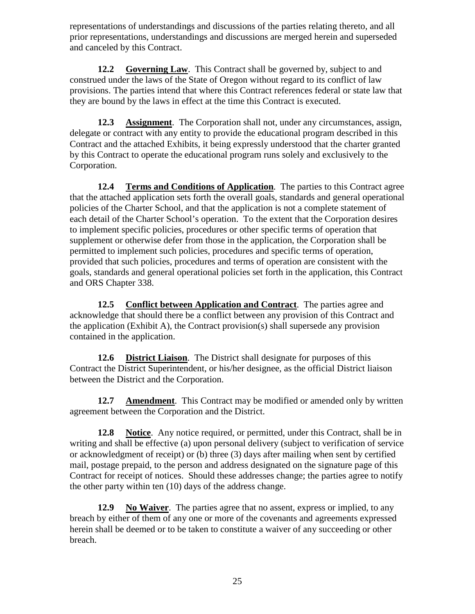representations of understandings and discussions of the parties relating thereto, and all prior representations, understandings and discussions are merged herein and superseded and canceled by this Contract.

**12.2 Governing Law**. This Contract shall be governed by, subject to and construed under the laws of the State of Oregon without regard to its conflict of law provisions. The parties intend that where this Contract references federal or state law that they are bound by the laws in effect at the time this Contract is executed.

**12.3 Assignment**. The Corporation shall not, under any circumstances, assign, delegate or contract with any entity to provide the educational program described in this Contract and the attached Exhibits, it being expressly understood that the charter granted by this Contract to operate the educational program runs solely and exclusively to the Corporation.

**12.4 Terms and Conditions of Application**. The parties to this Contract agree that the attached application sets forth the overall goals, standards and general operational policies of the Charter School, and that the application is not a complete statement of each detail of the Charter School's operation. To the extent that the Corporation desires to implement specific policies, procedures or other specific terms of operation that supplement or otherwise defer from those in the application, the Corporation shall be permitted to implement such policies, procedures and specific terms of operation, provided that such policies, procedures and terms of operation are consistent with the goals, standards and general operational policies set forth in the application, this Contract and ORS Chapter 338.

**12.5 Conflict between Application and Contract**. The parties agree and acknowledge that should there be a conflict between any provision of this Contract and the application (Exhibit A), the Contract provision(s) shall supersede any provision contained in the application.

**12.6 District Liaison**. The District shall designate for purposes of this Contract the District Superintendent, or his/her designee, as the official District liaison between the District and the Corporation.

**12.7 Amendment**. This Contract may be modified or amended only by written agreement between the Corporation and the District.

**12.8 Notice**. Any notice required, or permitted, under this Contract, shall be in writing and shall be effective (a) upon personal delivery (subject to verification of service or acknowledgment of receipt) or (b) three (3) days after mailing when sent by certified mail, postage prepaid, to the person and address designated on the signature page of this Contract for receipt of notices. Should these addresses change; the parties agree to notify the other party within ten (10) days of the address change.

**12.9 No Waiver**. The parties agree that no assent, express or implied, to any breach by either of them of any one or more of the covenants and agreements expressed herein shall be deemed or to be taken to constitute a waiver of any succeeding or other breach.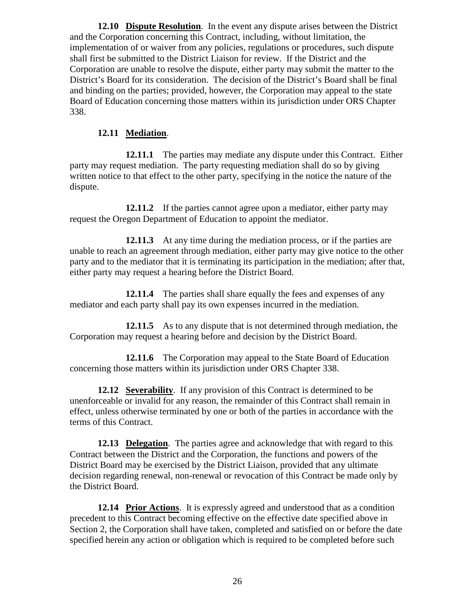**12.10 Dispute Resolution**. In the event any dispute arises between the District and the Corporation concerning this Contract, including, without limitation, the implementation of or waiver from any policies, regulations or procedures, such dispute shall first be submitted to the District Liaison for review. If the District and the Corporation are unable to resolve the dispute, either party may submit the matter to the District's Board for its consideration. The decision of the District's Board shall be final and binding on the parties; provided, however, the Corporation may appeal to the state Board of Education concerning those matters within its jurisdiction under ORS Chapter 338.

## **12.11 Mediation**.

**12.11.1** The parties may mediate any dispute under this Contract. Either party may request mediation. The party requesting mediation shall do so by giving written notice to that effect to the other party, specifying in the notice the nature of the dispute.

**12.11.2** If the parties cannot agree upon a mediator, either party may request the Oregon Department of Education to appoint the mediator.

**12.11.3** At any time during the mediation process, or if the parties are unable to reach an agreement through mediation, either party may give notice to the other party and to the mediator that it is terminating its participation in the mediation; after that, either party may request a hearing before the District Board.

**12.11.4** The parties shall share equally the fees and expenses of any mediator and each party shall pay its own expenses incurred in the mediation.

**12.11.5** As to any dispute that is not determined through mediation, the Corporation may request a hearing before and decision by the District Board.

**12.11.6** The Corporation may appeal to the State Board of Education concerning those matters within its jurisdiction under ORS Chapter 338.

**12.12 Severability**. If any provision of this Contract is determined to be unenforceable or invalid for any reason, the remainder of this Contract shall remain in effect, unless otherwise terminated by one or both of the parties in accordance with the terms of this Contract.

**12.13 Delegation**. The parties agree and acknowledge that with regard to this Contract between the District and the Corporation, the functions and powers of the District Board may be exercised by the District Liaison, provided that any ultimate decision regarding renewal, non-renewal or revocation of this Contract be made only by the District Board.

**12.14 Prior Actions**. It is expressly agreed and understood that as a condition precedent to this Contract becoming effective on the effective date specified above in Section 2, the Corporation shall have taken, completed and satisfied on or before the date specified herein any action or obligation which is required to be completed before such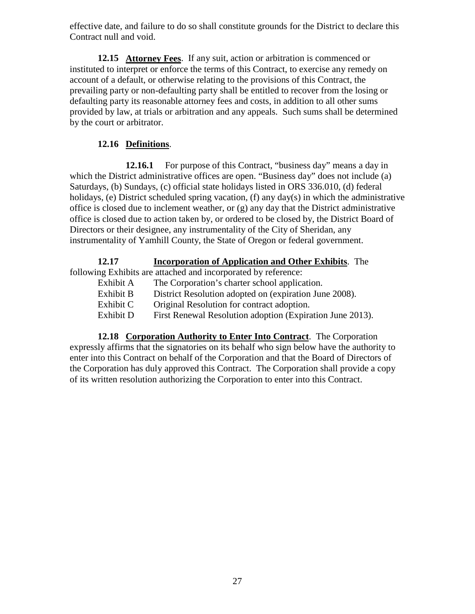effective date, and failure to do so shall constitute grounds for the District to declare this Contract null and void.

**12.15 Attorney Fees**. If any suit, action or arbitration is commenced or instituted to interpret or enforce the terms of this Contract, to exercise any remedy on account of a default, or otherwise relating to the provisions of this Contract, the prevailing party or non-defaulting party shall be entitled to recover from the losing or defaulting party its reasonable attorney fees and costs, in addition to all other sums provided by law, at trials or arbitration and any appeals. Such sums shall be determined by the court or arbitrator.

# **12.16 Definitions**.

**12.16.1** For purpose of this Contract, "business day" means a day in which the District administrative offices are open. "Business day" does not include (a) Saturdays, (b) Sundays, (c) official state holidays listed in ORS 336.010, (d) federal holidays, (e) District scheduled spring vacation, (f) any day(s) in which the administrative office is closed due to inclement weather, or (g) any day that the District administrative office is closed due to action taken by, or ordered to be closed by, the District Board of Directors or their designee, any instrumentality of the City of Sheridan, any instrumentality of Yamhill County, the State of Oregon or federal government.

**12.17 Incorporation of Application and Other Exhibits** . The following Exhibits are attached and incorporated by reference:

Exhibit A The Corporation's charter school application. Exhibit B District Resolution adopted on (expiration June 2008).

Exhibit C Original Resolution for contract adoption.

Exhibit D First Renewal Resolution adoption (Expiration June 2013).

**12.18 Corporation Authority to Enter Into Contract**. The Corporation expressly affirms that the signatories on its behalf who sign below have the authority to enter into this Contract on behalf of the Corporation and that the Board of Directors of the Corporation has duly approved this Contract. The Corporation shall provide a copy of its written resolution authorizing the Corporation to enter into this Contract.